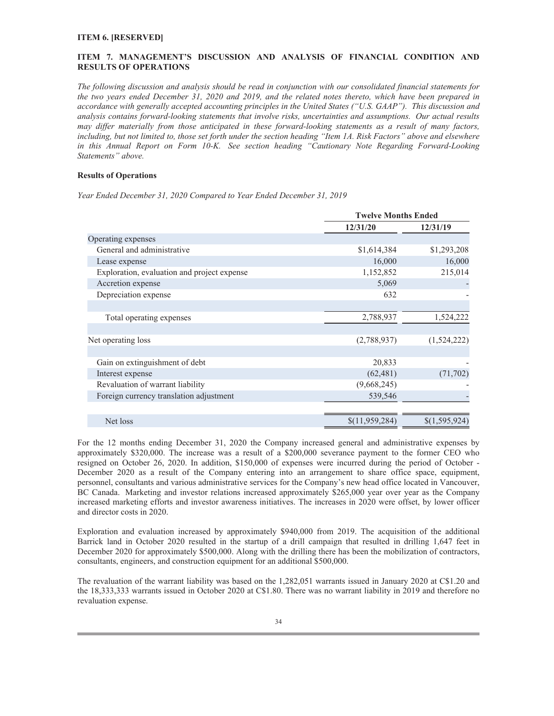#### **ITEM 6. [RESERVED]**

## **ITEM 7. MANAGEMENT'S DISCUSSION AND ANALYSIS OF FINANCIAL CONDITION AND RESULTS OF OPERATIONS**

*The following discussion and analysis should be read in conjunction with our consolidated financial statements for the two years ended December 31, 2020 and 2019, and the related notes thereto, which have been prepared in accordance with generally accepted accounting principles in the United States ("U.S. GAAP"). This discussion and analysis contains forward-looking statements that involve risks, uncertainties and assumptions. Our actual results may differ materially from those anticipated in these forward-looking statements as a result of many factors, including, but not limited to, those set forth under the section heading "Item 1A. Risk Factors" above and elsewhere in this Annual Report on Form 10-K. See section heading "Cautionary Note Regarding Forward-Looking Statements" above.*

#### **Results of Operations**

*Year Ended December 31, 2020 Compared to Year Ended December 31, 2019*

|                                             |                | <b>Twelve Months Ended</b> |  |  |
|---------------------------------------------|----------------|----------------------------|--|--|
|                                             | 12/31/20       | 12/31/19                   |  |  |
| Operating expenses                          |                |                            |  |  |
| General and administrative                  | \$1,614,384    | \$1,293,208                |  |  |
| Lease expense                               | 16,000         | 16,000                     |  |  |
| Exploration, evaluation and project expense | 1,152,852      | 215,014                    |  |  |
| Accretion expense                           | 5,069          |                            |  |  |
| Depreciation expense                        | 632            |                            |  |  |
|                                             |                |                            |  |  |
| Total operating expenses                    | 2,788,937      | 1,524,222                  |  |  |
|                                             |                |                            |  |  |
| Net operating loss                          | (2,788,937)    | (1, 524, 222)              |  |  |
|                                             |                |                            |  |  |
| Gain on extinguishment of debt              | 20,833         |                            |  |  |
| Interest expense                            | (62, 481)      | (71, 702)                  |  |  |
| Revaluation of warrant liability            | (9,668,245)    |                            |  |  |
| Foreign currency translation adjustment     | 539,546        |                            |  |  |
|                                             |                |                            |  |  |
| Net loss                                    | \$(11,959,284) | \$(1,595,924)              |  |  |

For the 12 months ending December 31, 2020 the Company increased general and administrative expenses by approximately \$320,000. The increase was a result of a \$200,000 severance payment to the former CEO who resigned on October 26, 2020. In addition, \$150,000 of expenses were incurred during the period of October - December 2020 as a result of the Company entering into an arrangement to share office space, equipment, personnel, consultants and various administrative services for the Company's new head office located in Vancouver, BC Canada. Marketing and investor relations increased approximately \$265,000 year over year as the Company increased marketing efforts and investor awareness initiatives. The increases in 2020 were offset, by lower officer and director costs in 2020.

Exploration and evaluation increased by approximately \$940,000 from 2019. The acquisition of the additional Barrick land in October 2020 resulted in the startup of a drill campaign that resulted in drilling 1,647 feet in December 2020 for approximately \$500,000. Along with the drilling there has been the mobilization of contractors, consultants, engineers, and construction equipment for an additional \$500,000.

The revaluation of the warrant liability was based on the 1,282,051 warrants issued in January 2020 at C\$1.20 and the 18,333,333 warrants issued in October 2020 at C\$1.80. There was no warrant liability in 2019 and therefore no revaluation expense.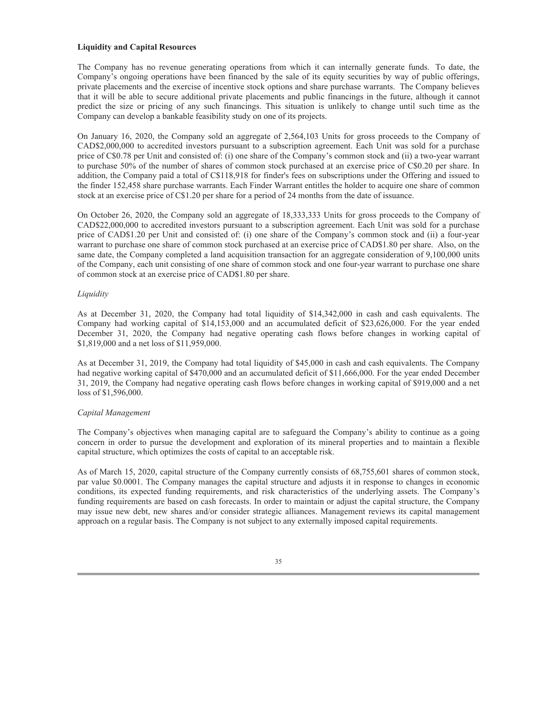### **Liquidity and Capital Resources**

The Company has no revenue generating operations from which it can internally generate funds. To date, the Company's ongoing operations have been financed by the sale of its equity securities by way of public offerings, private placements and the exercise of incentive stock options and share purchase warrants. The Company believes that it will be able to secure additional private placements and public financings in the future, although it cannot predict the size or pricing of any such financings. This situation is unlikely to change until such time as the Company can develop a bankable feasibility study on one of its projects.

On January 16, 2020, the Company sold an aggregate of 2,564,103 Units for gross proceeds to the Company of CAD\$2,000,000 to accredited investors pursuant to a subscription agreement. Each Unit was sold for a purchase price of C\$0.78 per Unit and consisted of: (i) one share of the Company's common stock and (ii) a two-year warrant to purchase 50% of the number of shares of common stock purchased at an exercise price of C\$0.20 per share. In addition, the Company paid a total of C\$118,918 for finder's fees on subscriptions under the Offering and issued to the finder 152,458 share purchase warrants. Each Finder Warrant entitles the holder to acquire one share of common stock at an exercise price of C\$1.20 per share for a period of 24 months from the date of issuance.

On October 26, 2020, the Company sold an aggregate of 18,333,333 Units for gross proceeds to the Company of CAD\$22,000,000 to accredited investors pursuant to a subscription agreement. Each Unit was sold for a purchase price of CAD\$1.20 per Unit and consisted of: (i) one share of the Company's common stock and (ii) a four-year warrant to purchase one share of common stock purchased at an exercise price of CAD\$1.80 per share. Also, on the same date, the Company completed a land acquisition transaction for an aggregate consideration of 9,100,000 units of the Company, each unit consisting of one share of common stock and one four-year warrant to purchase one share of common stock at an exercise price of CAD\$1.80 per share.

# *Liquidity*

As at December 31, 2020, the Company had total liquidity of \$14,342,000 in cash and cash equivalents. The Company had working capital of \$14,153,000 and an accumulated deficit of \$23,626,000. For the year ended December 31, 2020, the Company had negative operating cash flows before changes in working capital of \$1,819,000 and a net loss of \$11,959,000.

As at December 31, 2019, the Company had total liquidity of \$45,000 in cash and cash equivalents. The Company had negative working capital of \$470,000 and an accumulated deficit of \$11,666,000. For the year ended December 31, 2019, the Company had negative operating cash flows before changes in working capital of \$919,000 and a net loss of \$1,596,000.

## *Capital Management*

The Company's objectives when managing capital are to safeguard the Company's ability to continue as a going concern in order to pursue the development and exploration of its mineral properties and to maintain a flexible capital structure, which optimizes the costs of capital to an acceptable risk.

As of March 15, 2020, capital structure of the Company currently consists of 68,755,601 shares of common stock, par value \$0.0001. The Company manages the capital structure and adjusts it in response to changes in economic conditions, its expected funding requirements, and risk characteristics of the underlying assets. The Company's funding requirements are based on cash forecasts. In order to maintain or adjust the capital structure, the Company may issue new debt, new shares and/or consider strategic alliances. Management reviews its capital management approach on a regular basis. The Company is not subject to any externally imposed capital requirements.